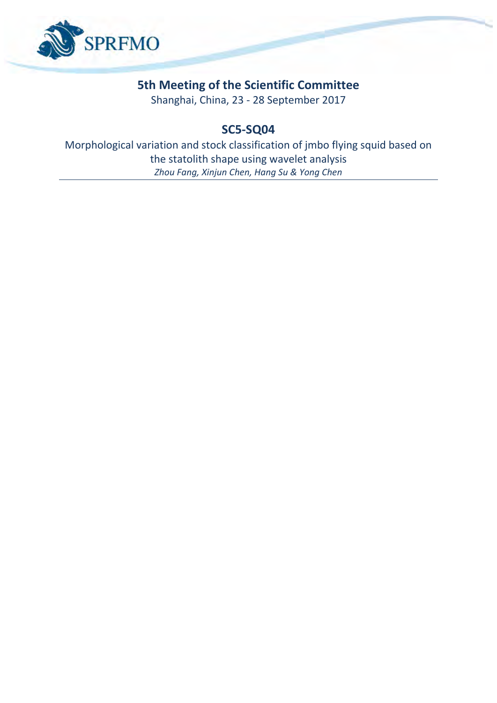

# **5th Meeting of the Scientific Committee**

Shanghai, China, 23 - 28 September 2017

# **SC5-SQ04**

Morphological variation and stock classification of mbo flying squid based on the statolith shape using wavelet analysis *Zhou Fang, Xinjun Chen, Hang Su & Yong Chen*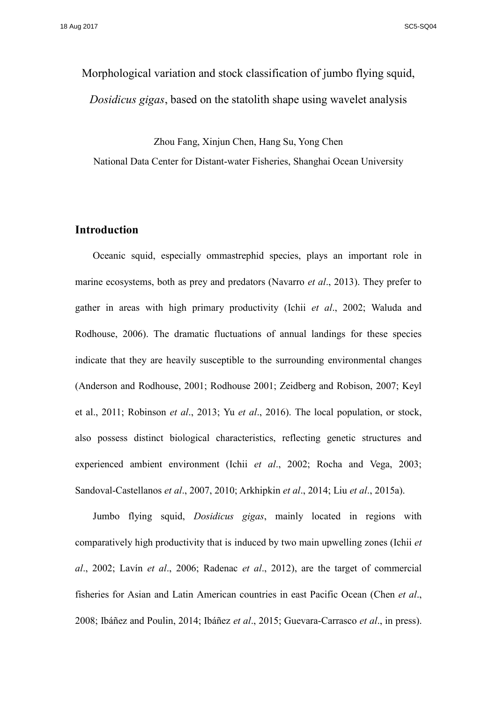# Morphological variation and stock classification of jumbo flying squid, *Dosidicus gigas*, based on the statolith shape using wavelet analysis

Zhou Fang, Xinjun Chen, Hang Su, Yong Chen National Data Center for Distant-water Fisheries, Shanghai Ocean University

# **Introduction**

Oceanic squid, especially ommastrephid species, plays an important role in marine ecosystems, both as prey and predators (Navarro *et al*., 2013). They prefer to gather in areas with high primary productivity (Ichii *et al*., 2002; Waluda and Rodhouse, 2006). The dramatic fluctuations of annual landings for these species indicate that they are heavily susceptible to the surrounding environmental changes (Anderson and Rodhouse, 2001; Rodhouse 2001; Zeidberg and Robison, 2007; Keyl et al., 2011; Robinson *et al*., 2013; Yu *et al*., 2016). The local population, or stock, also possess distinct biological characteristics, reflecting genetic structures and experienced ambient environment (Ichii *et al*., 2002; Rocha and Vega, 2003; Sandoval-Castellanos *et al*., 2007, 2010; Arkhipkin *et al*., 2014; Liu *et al*., 2015a).

Jumbo flying squid, *Dosidicus gigas*, mainly located in regions with comparatively high productivity that is induced by two main upwelling zones (Ichii *et al*., 2002; Lavín *et al*., 2006; Radenac *et al*., 2012), are the target of commercial fisheries for Asian and Latin American countries in east Pacific Ocean (Chen *et al*., 2008; Ibáñez and Poulin, 2014; Ibáñez *et al*., 2015; Guevara-Carrasco *et al*., in press).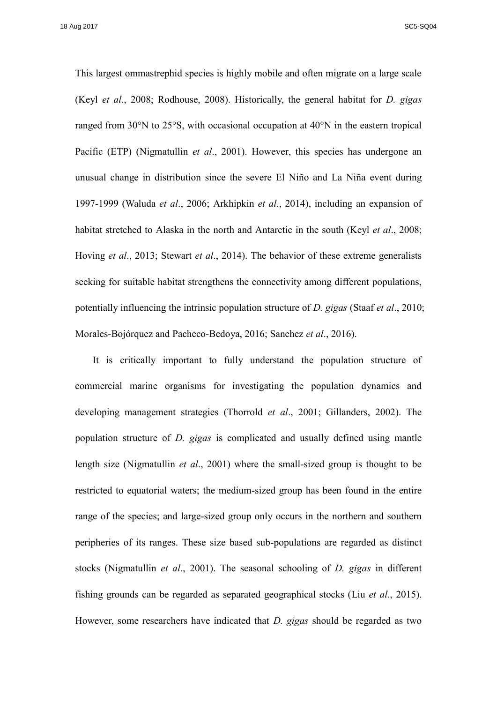This largest ommastrephid species is highly mobile and often migrate on a large scale (Keyl *et al*., 2008; Rodhouse, 2008). Historically, the general habitat for *D. gigas* ranged from 30°N to 25°S, with occasional occupation at 40°N in the eastern tropical Pacific (ETP) (Nigmatullin *et al*., 2001). However, this species has undergone an unusual change in distribution since the severe El Niño and La Niña event during 1997-1999 (Waluda *et al*., 2006; Arkhipkin *et al*., 2014), including an expansion of habitat stretched to Alaska in the north and Antarctic in the south (Keyl *et al*., 2008; Hoving *et al*., 2013; Stewart *et al*., 2014). The behavior of these extreme generalists seeking for suitable habitat strengthens the connectivity among different populations, potentially influencing the intrinsic population structure of *D. gigas* (Staaf *et al*., 2010; Morales-Bojórquez and Pacheco-Bedoya, 2016; Sanchez *et al*., 2016).

It is critically important to fully understand the population structure of commercial marine organisms for investigating the population dynamics and developing management strategies (Thorrold *et al*., 2001; Gillanders, 2002). The population structure of *D. gigas* is complicated and usually defined using mantle length size (Nigmatullin *et al*., 2001) where the small-sized group is thought to be restricted to equatorial waters; the medium-sized group has been found in the entire range of the species; and large-sized group only occurs in the northern and southern peripheries of its ranges. These size based sub-populations are regarded as distinct stocks (Nigmatullin *et al*., 2001). The seasonal schooling of *D. gigas* in different fishing grounds can be regarded as separated geographical stocks (Liu *et al*., 2015). However, some researchers have indicated that *D. gigas* should be regarded as two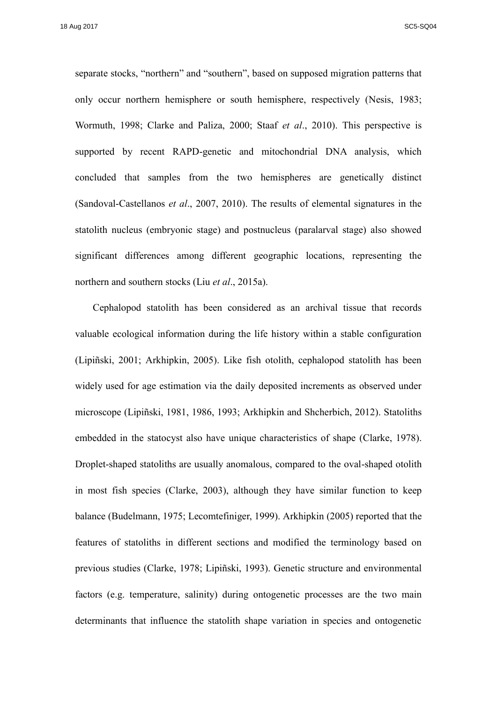separate stocks, "northern" and "southern", based on supposed migration patterns that only occur northern hemisphere or south hemisphere, respectively (Nesis, 1983; Wormuth, 1998; Clarke and Paliza, 2000; Staaf *et al*., 2010). This perspective is supported by recent RAPD-genetic and mitochondrial DNA analysis, which concluded that samples from the two hemispheres are genetically distinct (Sandoval-Castellanos *et al*., 2007, 2010). The results of elemental signatures in the statolith nucleus (embryonic stage) and postnucleus (paralarval stage) also showed significant differences among different geographic locations, representing the northern and southern stocks (Liu *et al*., 2015a).

Cephalopod statolith has been considered as an archival tissue that records valuable ecological information during the life history within a stable configuration (Lipiñski, 2001; Arkhipkin, 2005). Like fish otolith, cephalopod statolith has been widely used for age estimation via the daily deposited increments as observed under microscope (Lipiñski, 1981, 1986, 1993; Arkhipkin and Shcherbich, 2012). Statoliths embedded in the statocyst also have unique characteristics of shape (Clarke, 1978). Droplet-shaped statoliths are usually anomalous, compared to the oval-shaped otolith in most fish species (Clarke, 2003), although they have similar function to keep balance (Budelmann, 1975; Lecomtefiniger, 1999). Arkhipkin (2005) reported that the features of statoliths in different sections and modified the terminology based on previous studies (Clarke, 1978; Lipiñski, 1993). Genetic structure and environmental factors (e.g. temperature, salinity) during ontogenetic processes are the two main determinants that influence the statolith shape variation in species and ontogenetic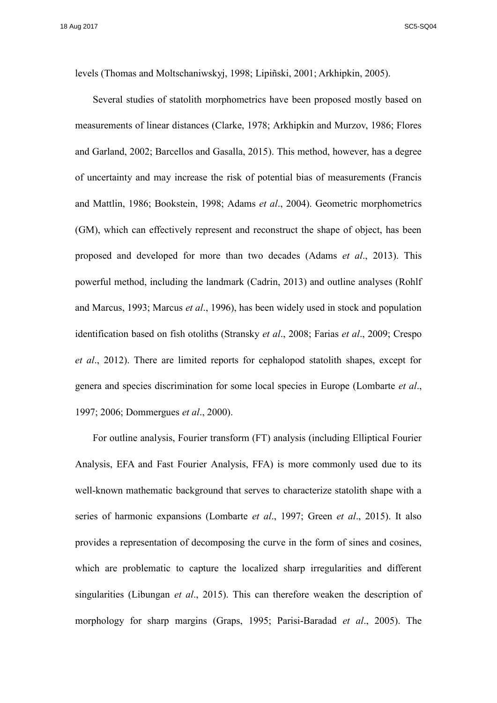levels (Thomas and Moltschaniwskyj, 1998; Lipiñski, 2001; Arkhipkin, 2005).

Several studies of statolith morphometrics have been proposed mostly based on measurements of linear distances (Clarke, 1978; Arkhipkin and Murzov, 1986; Flores and Garland, 2002; Barcellos and Gasalla, 2015). This method, however, has a degree of uncertainty and may increase the risk of potential bias of measurements (Francis and Mattlin, 1986; Bookstein, 1998; Adams *et al*., 2004). Geometric morphometrics (GM), which can effectively represent and reconstruct the shape of object, has been proposed and developed for more than two decades (Adams *et al*., 2013). This powerful method, including the landmark (Cadrin, 2013) and outline analyses (Rohlf and Marcus, 1993; Marcus *et al*., 1996), has been widely used in stock and population identification based on fish otoliths (Stransky *et al*., 2008; Farias *et al*., 2009; Crespo *et al*., 2012). There are limited reports for cephalopod statolith shapes, except for genera and species discrimination for some local species in Europe (Lombarte *et al*., 1997; 2006; Dommergues *et al*., 2000).

For outline analysis, Fourier transform (FT) analysis (including Elliptical Fourier Analysis, EFA and Fast Fourier Analysis, FFA) is more commonly used due to its well-known mathematic background that serves to characterize statolith shape with a series of harmonic expansions (Lombarte *et al*., 1997; Green *et al*., 2015). It also provides a representation of decomposing the curve in the form of sines and cosines, which are problematic to capture the localized sharp irregularities and different singularities (Libungan *et al*., 2015). This can therefore weaken the description of morphology for sharp margins (Graps, 1995; Parisi-Baradad *et al*., 2005). The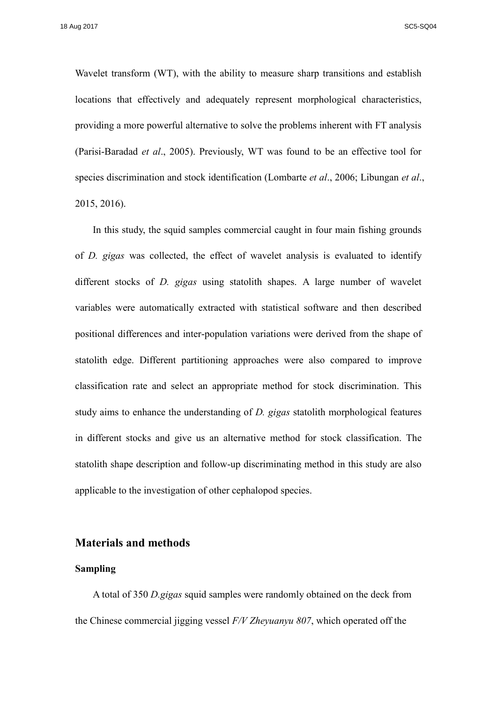Wavelet transform (WT), with the ability to measure sharp transitions and establish locations that effectively and adequately represent morphological characteristics, providing a more powerful alternative to solve the problems inherent with FT analysis (Parisi-Baradad *et al*., 2005). Previously, WT was found to be an effective tool for species discrimination and stock identification (Lombarte *et al*., 2006; Libungan *et al*., 2015, 2016).

In this study, the squid samples commercial caught in four main fishing grounds of *D. gigas* was collected, the effect of wavelet analysis is evaluated to identify different stocks of *D. gigas* using statolith shapes. A large number of wavelet variables were automatically extracted with statistical software and then described positional differences and inter-population variations were derived from the shape of statolith edge. Different partitioning approaches were also compared to improve classification rate and select an appropriate method for stock discrimination. This study aims to enhance the understanding of *D. gigas* statolith morphological features in different stocks and give us an alternative method for stock classification. The statolith shape description and follow-up discriminating method in this study are also applicable to the investigation of other cephalopod species.

# **Materials and methods**

# **Sampling**

A total of 350 *D.gigas* squid samples were randomly obtained on the deck from the Chinese commercial jigging vessel *F/V Zheyuanyu 807*, which operated off the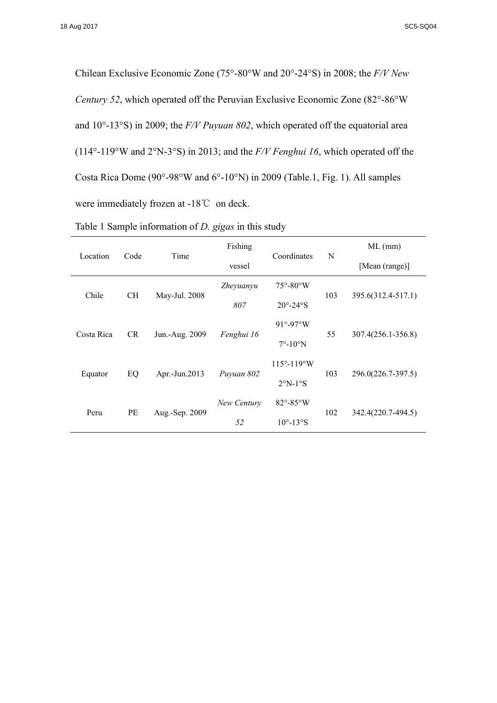Chilean Exclusive Economic Zone (75°-80°W and 20°-24°S) in 2008; the *F/V New Century 52*, which operated off the Peruvian Exclusive Economic Zone (82°-86°W and 10°-13°S) in 2009; the *F/V Puyuan 802*, which operated off the equatorial area (114°-119°W and 2°N-3°S) in 2013; and the *F/V Fenghui 16*, which operated off the Costa Rica Dome (90°-98°W and 6°-10°N) in 2009 (Table.1, Fig. 1). All samples were immediately frozen at -18℃ on deck.

| Table 1 Sample information of <i>D. gigas</i> in this study |  |
|-------------------------------------------------------------|--|
|-------------------------------------------------------------|--|

| Location   | Code      | Time           | Fishing     | Coordinates                   | N   | $ML$ (mm)          |  |
|------------|-----------|----------------|-------------|-------------------------------|-----|--------------------|--|
|            |           |                | vessel      |                               |     | [Mean (range)]     |  |
|            | <b>CH</b> |                | Zheyuanyu   | $75^{\circ} - 80^{\circ}$ W   | 103 |                    |  |
| Chile      |           | May-Jul. 2008  | 807         | $20^{\circ} - 24^{\circ}$ S   |     | 395.6(312.4-517.1) |  |
| Costa Rica | <b>CR</b> | Jun.-Aug. 2009 |             | $91^\circ - 97^\circ W$       |     |                    |  |
|            |           |                | Fenghui 16  | $7^{\circ}$ -10 $^{\circ}$ N  | 55  | 307.4(256.1-356.8) |  |
| Equator    |           |                |             | $115^{\circ} - 119^{\circ}$ W |     |                    |  |
|            | EQ        | Apr.-Jun.2013  | Puyuan 802  | $2^{\circ}N-1^{\circ}S$       | 103 | 296.0(226.7-397.5) |  |
| Peru       | PE        |                | New Century | $82^\circ - 85^\circ$ W       |     |                    |  |
|            |           | Aug.-Sep. 2009 | 52          | $10^{\circ}$ -13°S            | 102 | 342.4(220.7-494.5) |  |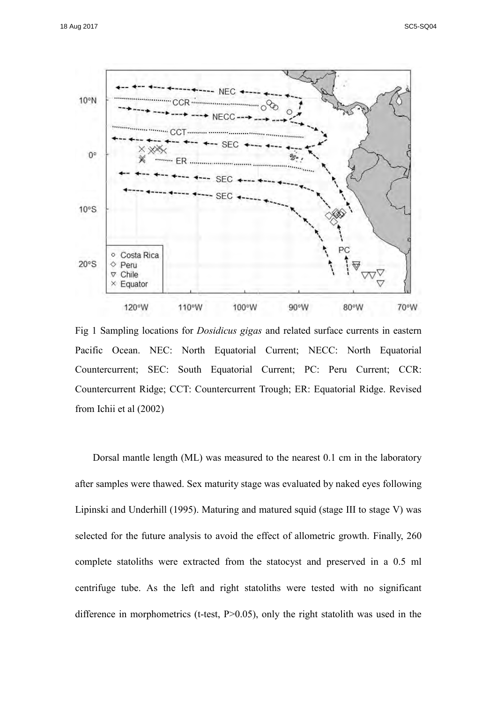

Fig 1 Sampling locations for *Dosidicus gigas* and related surface currents in eastern Pacific Ocean. NEC: North Equatorial Current; NECC: North Equatorial Countercurrent; SEC: South Equatorial Current; PC: Peru Current; CCR: Countercurrent Ridge; CCT: Countercurrent Trough; ER: Equatorial Ridge. Revised from Ichii et al (2002)

Dorsal mantle length (ML) was measured to the nearest 0.1 cm in the laboratory after samples were thawed. Sex maturity stage was evaluated by naked eyes following Lipinski and Underhill (1995). Maturing and matured squid (stage III to stage V) was selected for the future analysis to avoid the effect of allometric growth. Finally, 260 complete statoliths were extracted from the statocyst and preserved in a 0.5 ml centrifuge tube. As the left and right statoliths were tested with no significant difference in morphometrics (t-test, P>0.05), only the right statolith was used in the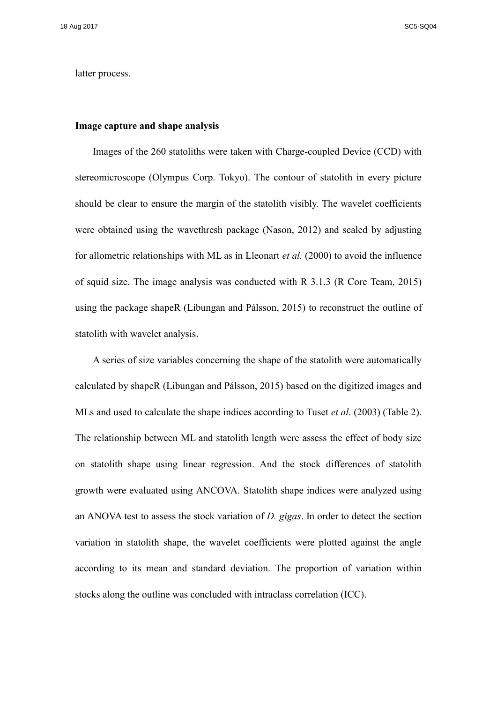latter process.

#### **Image capture and shape analysis**

Images of the 260 statoliths were taken with Charge-coupled Device (CCD) with stereomicroscope (Olympus Corp. Tokyo). The contour of statolith in every picture should be clear to ensure the margin of the statolith visibly. The wavelet coefficients were obtained using the wavethresh package (Nason, 2012) and scaled by adjusting for allometric relationships with ML as in Lleonart *et al.* (2000) to avoid the influence of squid size. The image analysis was conducted with R 3.1.3 (R Core Team, 2015) using the package shapeR (Libungan and Pálsson, 2015) to reconstruct the outline of statolith with wavelet analysis.

A series of size variables concerning the shape of the statolith were automatically calculated by shapeR (Libungan and Pálsson, 2015) based on the digitized images and MLs and used to calculate the shape indices according to Tuset *et al*. (2003) (Table 2). The relationship between ML and statolith length were assess the effect of body size on statolith shape using linear regression. And the stock differences of statolith growth were evaluated using ANCOVA. Statolith shape indices were analyzed using an ANOVA test to assess the stock variation of *D. gigas*. In order to detect the section variation in statolith shape, the wavelet coefficients were plotted against the angle according to its mean and standard deviation. The proportion of variation within stocks along the outline was concluded with intraclass correlation (ICC).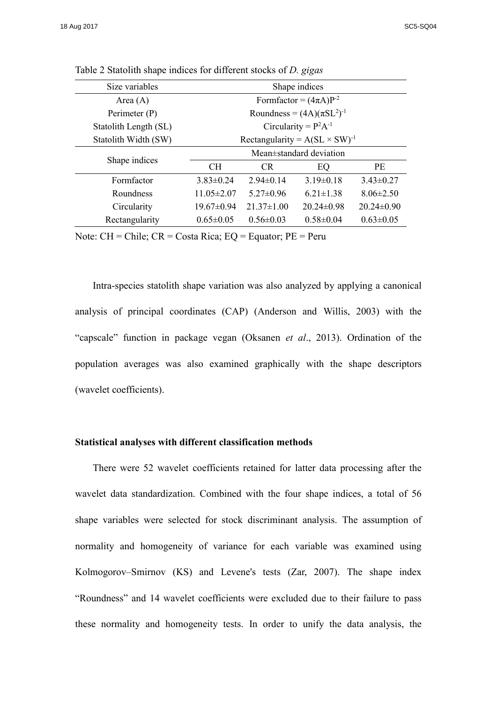| Size variables        | Shape indices                           |                                   |                  |                  |  |  |  |
|-----------------------|-----------------------------------------|-----------------------------------|------------------|------------------|--|--|--|
| Area $(A)$            | Formfactor = $(4\pi A)P^{-2}$           |                                   |                  |                  |  |  |  |
| Perimeter (P)         |                                         | Roundness = $(4A)(\pi SL^2)^{-1}$ |                  |                  |  |  |  |
| Statolith Length (SL) | Circularity = $P^2A^{-1}$               |                                   |                  |                  |  |  |  |
| Statolith Width (SW)  | Rectangularity = $A(SL \times SW)^{-1}$ |                                   |                  |                  |  |  |  |
|                       | Mean $\pm$ standard deviation           |                                   |                  |                  |  |  |  |
| Shape indices         | CH.                                     | <b>CR</b>                         | EQ               | <b>PE</b>        |  |  |  |
| Formfactor            | $3.83 \pm 0.24$                         | $2.94 \pm 0.14$                   | $3.19\pm0.18$    | $3.43 \pm 0.27$  |  |  |  |
| Roundness             | $11.05 \pm 2.07$                        | $5.27 \pm 0.96$                   | $6.21 \pm 1.38$  | $8.06 \pm 2.50$  |  |  |  |
| Circularity           | $19.67 \pm 0.94$                        | $21.37 \pm 1.00$                  | $20.24 \pm 0.98$ | $20.24 \pm 0.90$ |  |  |  |
| Rectangularity        | $0.65 \pm 0.05$                         | $0.56 \pm 0.03$                   | $0.58 \pm 0.04$  | $0.63 \pm 0.05$  |  |  |  |

Table 2 Statolith shape indices for different stocks of *D. gigas*

Note: CH = Chile; CR = Costa Rica; EQ = Equator; PE = Peru

Intra-species statolith shape variation was also analyzed by applying a canonical analysis of principal coordinates (CAP) (Anderson and Willis, 2003) with the "capscale" function in package vegan (Oksanen *et al*., 2013). Ordination of the population averages was also examined graphically with the shape descriptors (wavelet coefficients).

## **Statistical analyses with different classification methods**

There were 52 wavelet coefficients retained for latter data processing after the wavelet data standardization. Combined with the four shape indices, a total of 56 shape variables were selected for stock discriminant analysis. The assumption of normality and homogeneity of variance for each variable was examined using Kolmogorov–Smirnov (KS) and Levene's tests (Zar, 2007). The shape index "Roundness" and 14 wavelet coefficients were excluded due to their failure to pass these normality and homogeneity tests. In order to unify the data analysis, the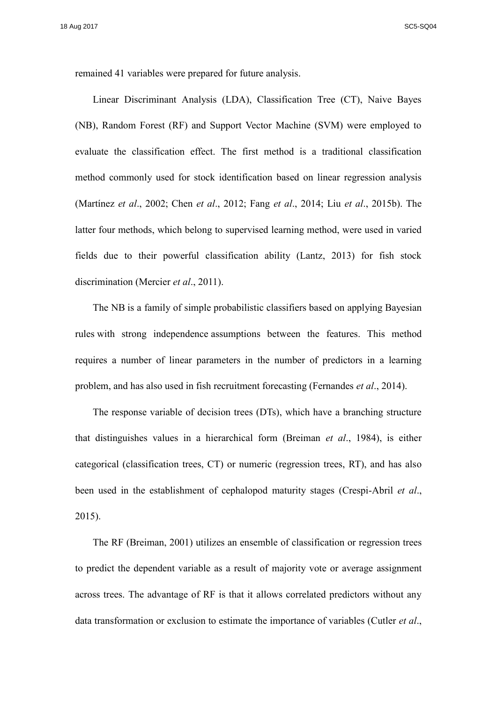remained 41 variables were prepared for future analysis.

Linear Discriminant Analysis (LDA), Classification Tree (CT), Naive Bayes (NB), Random Forest (RF) and Support Vector Machine (SVM) were employed to evaluate the classification effect. The first method is a traditional classification method commonly used for stock identification based on linear regression analysis (Martínez *et al*., 2002; Chen *et al*., 2012; Fang *et al*., 2014; Liu *et al*., 2015b). The latter four methods, which belong to supervised learning method, were used in varied fields due to their powerful classification ability (Lantz, 2013) for fish stock discrimination (Mercier *et al*., 2011).

The NB is a family of simple probabilistic classifiers based on applying Bayesian rules with strong independence assumptions between the features. This method requires a number of linear parameters in the number of predictors in a learning problem, and has also used in fish recruitment forecasting (Fernandes *et al*., 2014).

The response variable of decision trees (DTs), which have a branching structure that distinguishes values in a hierarchical form (Breiman *et al*., 1984), is either categorical (classification trees, CT) or numeric (regression trees, RT), and has also been used in the establishment of cephalopod maturity stages (Crespi-Abril *et al*., 2015).

The RF (Breiman, 2001) utilizes an ensemble of classification or regression trees to predict the dependent variable as a result of majority vote or average assignment across trees. The advantage of RF is that it allows correlated predictors without any data transformation or exclusion to estimate the importance of variables (Cutler *et al*.,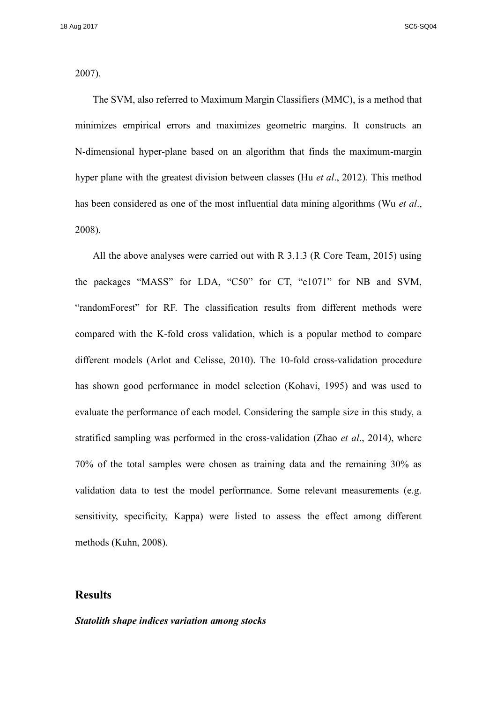2007).

The SVM, also referred to Maximum Margin Classifiers (MMC), is a method that minimizes empirical errors and maximizes geometric margins. It constructs an N-dimensional hyper-plane based on an algorithm that finds the maximum-margin hyper plane with the greatest division between classes (Hu *et al*., 2012). This method has been considered as one of the most influential data mining algorithms (Wu *et al*., 2008).

All the above analyses were carried out with R 3.1.3 (R Core Team, 2015) using the packages "MASS" for LDA, "C50" for CT, "e1071" for NB and SVM, "randomForest" for RF. The classification results from different methods were compared with the K-fold cross validation, which is a popular method to compare different models (Arlot and Celisse, 2010). The 10-fold cross-validation procedure has shown good performance in model selection (Kohavi, 1995) and was used to evaluate the performance of each model. Considering the sample size in this study, a stratified sampling was performed in the cross-validation (Zhao *et al*., 2014), where 70% of the total samples were chosen as training data and the remaining 30% as validation data to test the model performance. Some relevant measurements (e.g. sensitivity, specificity, Kappa) were listed to assess the effect among different methods (Kuhn, 2008).

# **Results**

#### *Statolith shape indices variation among stocks*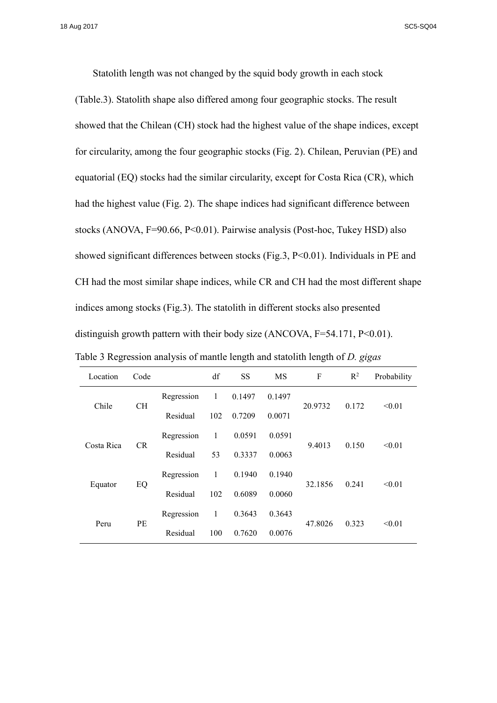Statolith length was not changed by the squid body growth in each stock (Table.3). Statolith shape also differed among four geographic stocks. The result showed that the Chilean (CH) stock had the highest value of the shape indices, except for circularity, among the four geographic stocks (Fig. 2). Chilean, Peruvian (PE) and equatorial (EQ) stocks had the similar circularity, except for Costa Rica (CR), which had the highest value (Fig. 2). The shape indices had significant difference between stocks (ANOVA, F=90.66, P<0.01). Pairwise analysis (Post-hoc, Tukey HSD) also showed significant differences between stocks (Fig.3, P<0.01). Individuals in PE and CH had the most similar shape indices, while CR and CH had the most different shape indices among stocks (Fig.3). The statolith in different stocks also presented distinguish growth pattern with their body size (ANCOVA,  $F=54.171$ ,  $P<0.01$ ).

| Table 3 Regression analysis of mantle length and statolith length of <i>D. gigas</i> |  |  |  |
|--------------------------------------------------------------------------------------|--|--|--|
|                                                                                      |  |  |  |

| Location   | Code      |            | df  | <b>SS</b> | <b>MS</b> | F       | $\mathbb{R}^2$ | Probability |
|------------|-----------|------------|-----|-----------|-----------|---------|----------------|-------------|
| Chile      |           | Regression | 1   | 0.1497    | 0.1497    |         | 0.172          | < 0.01      |
|            | <b>CH</b> | Residual   | 102 | 0.7209    | 0.0071    | 20.9732 |                |             |
| Costa Rica | CR.       | Regression | 1   | 0.0591    | 0.0591    |         | 0.150          | < 0.01      |
|            |           | Residual   | 53  | 0.3337    | 0.0063    | 9.4013  |                |             |
| Equator    | EQ        | Regression | 1   | 0.1940    | 0.1940    |         | 0.241          | < 0.01      |
|            |           | Residual   | 102 | 0.6089    | 0.0060    | 32.1856 |                |             |
| Peru       | PE        | Regression | 1   | 0.3643    | 0.3643    |         | 0.323          | < 0.01      |
|            |           | Residual   | 100 | 0.7620    | 0.0076    | 47.8026 |                |             |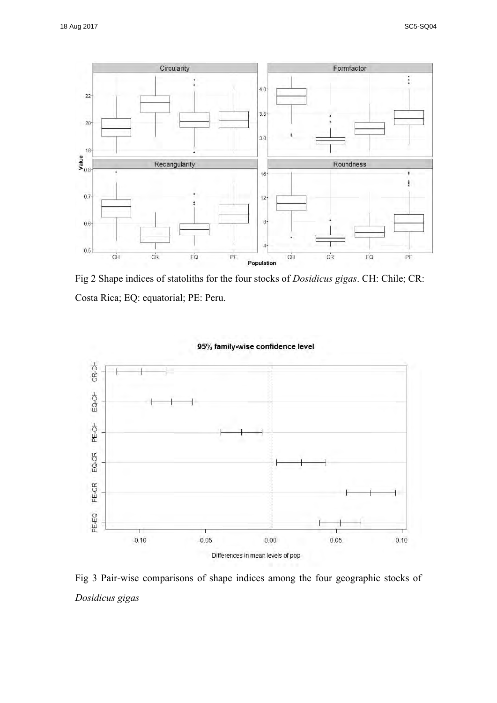

Fig 2 Shape indices of statoliths for the four stocks of *Dosidicus gigas*. CH: Chile; CR: Costa Rica; EQ: equatorial; PE: Peru.



## 95% family-wise confidence level

Fig 3 Pair-wise comparisons of shape indices among the four geographic stocks of *Dosidicus gigas*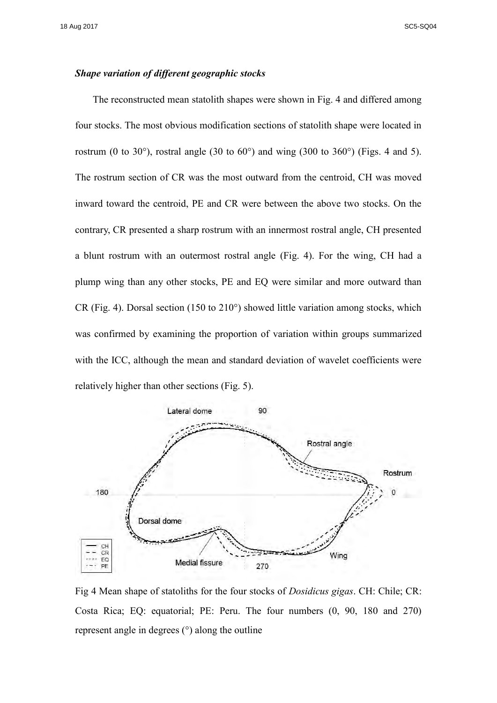## *Shape variation of different geographic stocks*

The reconstructed mean statolith shapes were shown in Fig. 4 and differed among four stocks. The most obvious modification sections of statolith shape were located in rostrum (0 to 30 $^{\circ}$ ), rostral angle (30 to 60 $^{\circ}$ ) and wing (300 to 360 $^{\circ}$ ) (Figs. 4 and 5). The rostrum section of CR was the most outward from the centroid, CH was moved inward toward the centroid, PE and CR were between the above two stocks. On the contrary, CR presented a sharp rostrum with an innermost rostral angle, CH presented a blunt rostrum with an outermost rostral angle (Fig. 4). For the wing, CH had a plump wing than any other stocks, PE and EQ were similar and more outward than CR (Fig. 4). Dorsal section (150 to 210°) showed little variation among stocks, which was confirmed by examining the proportion of variation within groups summarized with the ICC, although the mean and standard deviation of wavelet coefficients were relatively higher than other sections (Fig. 5).



Fig 4 Mean shape of statoliths for the four stocks of *Dosidicus gigas*. CH: Chile; CR: Costa Rica; EQ: equatorial; PE: Peru. The four numbers (0, 90, 180 and 270) represent angle in degrees (°) along the outline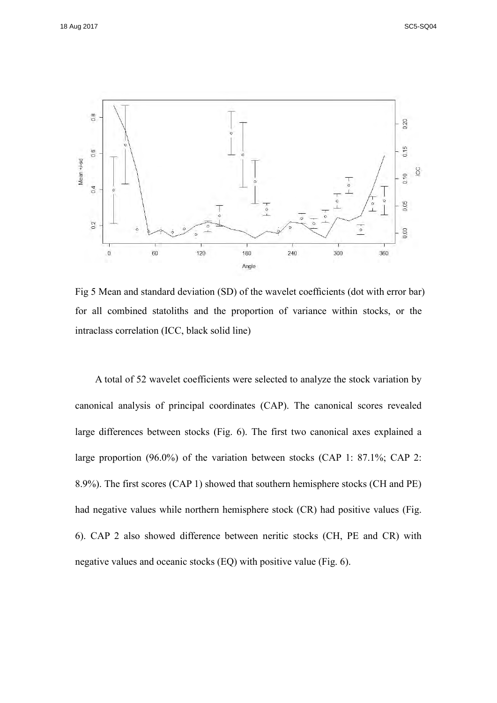

Fig 5 Mean and standard deviation (SD) of the wavelet coefficients (dot with error bar) for all combined statoliths and the proportion of variance within stocks, or the intraclass correlation (ICC, black solid line)

A total of 52 wavelet coefficients were selected to analyze the stock variation by canonical analysis of principal coordinates (CAP). The canonical scores revealed large differences between stocks (Fig. 6). The first two canonical axes explained a large proportion (96.0%) of the variation between stocks (CAP 1: 87.1%; CAP 2: 8.9%). The first scores (CAP 1) showed that southern hemisphere stocks (CH and PE) had negative values while northern hemisphere stock (CR) had positive values (Fig. 6). CAP 2 also showed difference between neritic stocks (CH, PE and CR) with negative values and oceanic stocks (EQ) with positive value (Fig. 6).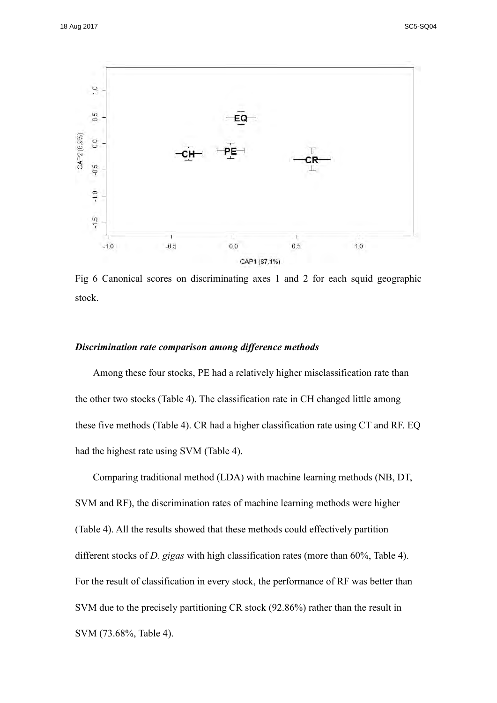

Fig 6 Canonical scores on discriminating axes 1 and 2 for each squid geographic stock.

#### *Discrimination rate comparison among difference methods*

Among these four stocks, PE had a relatively higher misclassification rate than the other two stocks (Table 4). The classification rate in CH changed little among these five methods (Table 4). CR had a higher classification rate using CT and RF. EQ had the highest rate using SVM (Table 4).

Comparing traditional method (LDA) with machine learning methods (NB, DT, SVM and RF), the discrimination rates of machine learning methods were higher (Table 4). All the results showed that these methods could effectively partition different stocks of *D. gigas* with high classification rates (more than 60%, Table 4). For the result of classification in every stock, the performance of RF was better than SVM due to the precisely partitioning CR stock (92.86%) rather than the result in SVM (73.68%, Table 4).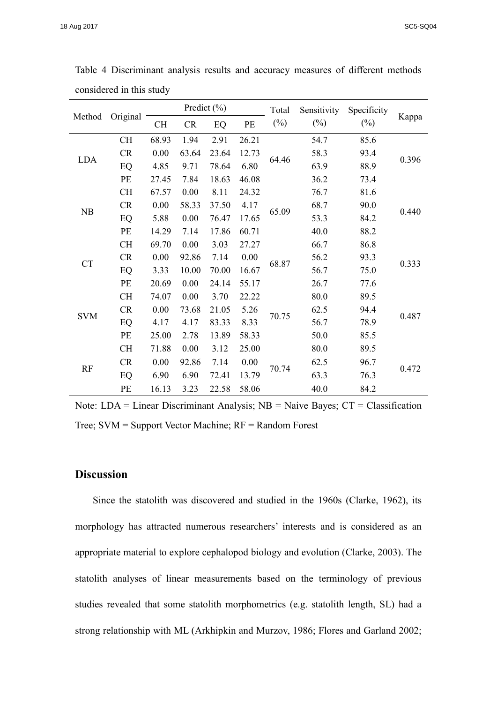|            |           | Predict $(\% )$ |       |       | Total | Sensitivity | Specificity |        |       |
|------------|-----------|-----------------|-------|-------|-------|-------------|-------------|--------|-------|
| Method     | Original  | CH              | CR    | EQ    | PE    | $(\%)$      | $(\%)$      | $(\%)$ | Kappa |
|            | <b>CH</b> | 68.93           | 1.94  | 2.91  | 26.21 |             | 54.7        | 85.6   |       |
| <b>LDA</b> | CR        | 0.00            | 63.64 | 23.64 | 12.73 | 64.46       | 58.3        | 93.4   | 0.396 |
|            | EQ        | 4.85            | 9.71  | 78.64 | 6.80  |             | 63.9        | 88.9   |       |
|            | PE        | 27.45           | 7.84  | 18.63 | 46.08 |             | 36.2        | 73.4   |       |
|            | CH        | 67.57           | 0.00  | 8.11  | 24.32 |             | 76.7        | 81.6   |       |
| NB         | CR        | 0.00            | 58.33 | 37.50 | 4.17  | 65.09       | 68.7        | 90.0   | 0.440 |
|            | EQ        | 5.88            | 0.00  | 76.47 | 17.65 |             | 53.3        | 84.2   |       |
|            | PE        | 14.29           | 7.14  | 17.86 | 60.71 |             | 40.0        | 88.2   |       |
|            | <b>CH</b> | 69.70           | 0.00  | 3.03  | 27.27 | 68.87       | 66.7        | 86.8   | 0.333 |
| <b>CT</b>  | CR        | 0.00            | 92.86 | 7.14  | 0.00  |             | 56.2        | 93.3   |       |
|            | EQ        | 3.33            | 10.00 | 70.00 | 16.67 |             | 56.7        | 75.0   |       |
|            | PE        | 20.69           | 0.00  | 24.14 | 55.17 |             | 26.7        | 77.6   |       |
|            | <b>CH</b> | 74.07           | 0.00  | 3.70  | 22.22 | 70.75       | 80.0        | 89.5   |       |
| <b>SVM</b> | CR        | 0.00            | 73.68 | 21.05 | 5.26  |             | 62.5        | 94.4   | 0.487 |
|            | EQ        | 4.17            | 4.17  | 83.33 | 8.33  |             | 56.7        | 78.9   |       |
|            | PE        | 25.00           | 2.78  | 13.89 | 58.33 |             | 50.0        | 85.5   |       |
| <b>RF</b>  | <b>CH</b> | 71.88           | 0.00  | 3.12  | 25.00 |             | 80.0        | 89.5   | 0.472 |
|            | CR        | 0.00            | 92.86 | 7.14  | 0.00  | 70.74       | 62.5        | 96.7   |       |
|            | EQ        | 6.90            | 6.90  | 72.41 | 13.79 |             | 63.3        | 76.3   |       |
|            | PE        | 16.13           | 3.23  | 22.58 | 58.06 |             | 40.0        | 84.2   |       |

Table 4 Discriminant analysis results and accuracy measures of different methods considered in this study

Note: LDA = Linear Discriminant Analysis;  $NB =$  Naive Bayes;  $CT =$  Classification Tree; SVM = Support Vector Machine; RF = Random Forest

# **Discussion**

Since the statolith was discovered and studied in the 1960s (Clarke, 1962), its morphology has attracted numerous researchers' interests and is considered as an appropriate material to explore cephalopod biology and evolution (Clarke, 2003). The statolith analyses of linear measurements based on the terminology of previous studies revealed that some statolith morphometrics (e.g. statolith length, SL) had a strong relationship with ML (Arkhipkin and Murzov, 1986; Flores and Garland 2002;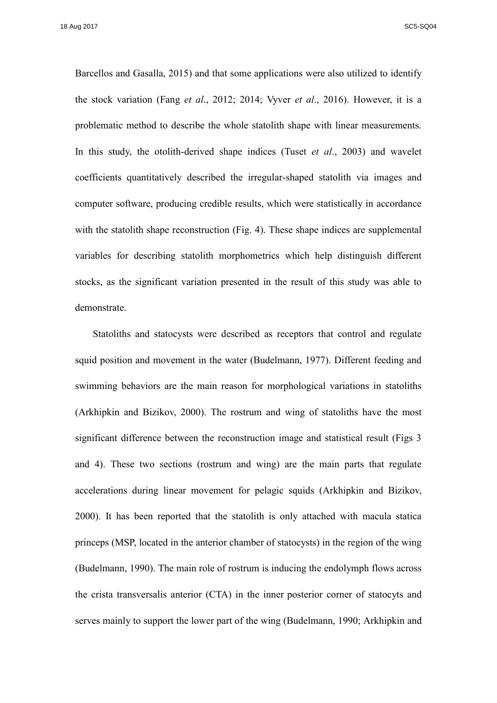Barcellos and Gasalla, 2015) and that some applications were also utilized to identify the stock variation (Fang *et al*., 2012; 2014; Vyver *et al*., 2016). However, it is a problematic method to describe the whole statolith shape with linear measurements. In this study, the otolith-derived shape indices (Tuset *et al*., 2003) and wavelet coefficients quantitatively described the irregular-shaped statolith via images and computer software, producing credible results, which were statistically in accordance with the statolith shape reconstruction (Fig. 4). These shape indices are supplemental variables for describing statolith morphometrics which help distinguish different stocks, as the significant variation presented in the result of this study was able to demonstrate.

Statoliths and statocysts were described as receptors that control and regulate squid position and movement in the water (Budelmann, 1977). Different feeding and swimming behaviors are the main reason for morphological variations in statoliths (Arkhipkin and Bizikov, 2000). The rostrum and wing of statoliths have the most significant difference between the reconstruction image and statistical result (Figs 3 and 4). These two sections (rostrum and wing) are the main parts that regulate accelerations during linear movement for pelagic squids (Arkhipkin and Bizikov, 2000). It has been reported that the statolith is only attached with macula statica princeps (MSP, located in the anterior chamber of statocysts) in the region of the wing (Budelmann, 1990). The main role of rostrum is inducing the endolymph flows across the crista transversalis anterior (CTA) in the inner posterior corner of statocyts and serves mainly to support the lower part of the wing (Budelmann, 1990; Arkhipkin and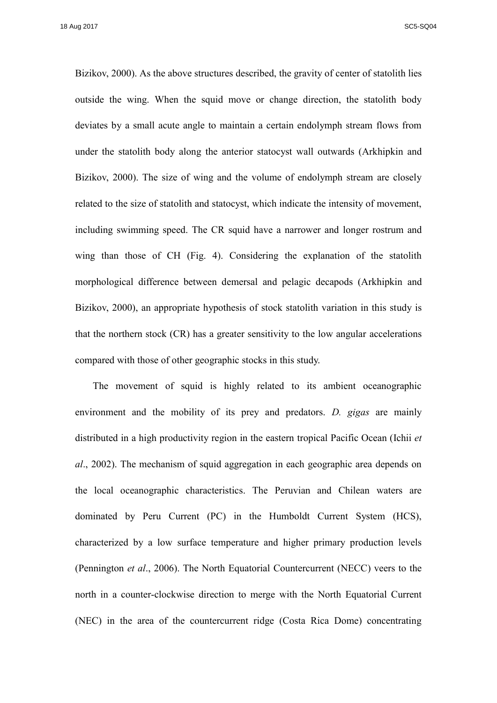Bizikov, 2000). As the above structures described, the gravity of center of statolith lies outside the wing. When the squid move or change direction, the statolith body deviates by a small acute angle to maintain a certain endolymph stream flows from under the statolith body along the anterior statocyst wall outwards (Arkhipkin and Bizikov, 2000). The size of wing and the volume of endolymph stream are closely related to the size of statolith and statocyst, which indicate the intensity of movement, including swimming speed. The CR squid have a narrower and longer rostrum and wing than those of CH (Fig. 4). Considering the explanation of the statolith morphological difference between demersal and pelagic decapods (Arkhipkin and Bizikov, 2000), an appropriate hypothesis of stock statolith variation in this study is that the northern stock (CR) has a greater sensitivity to the low angular accelerations compared with those of other geographic stocks in this study.

The movement of squid is highly related to its ambient oceanographic environment and the mobility of its prey and predators. *D. gigas* are mainly distributed in a high productivity region in the eastern tropical Pacific Ocean (Ichii *et al*., 2002). The mechanism of squid aggregation in each geographic area depends on the local oceanographic characteristics. The Peruvian and Chilean waters are dominated by Peru Current (PC) in the Humboldt Current System (HCS), characterized by a low surface temperature and higher primary production levels (Pennington *et al*., 2006). The North Equatorial Countercurrent (NECC) veers to the north in a counter-clockwise direction to merge with the North Equatorial Current (NEC) in the area of the countercurrent ridge (Costa Rica Dome) concentrating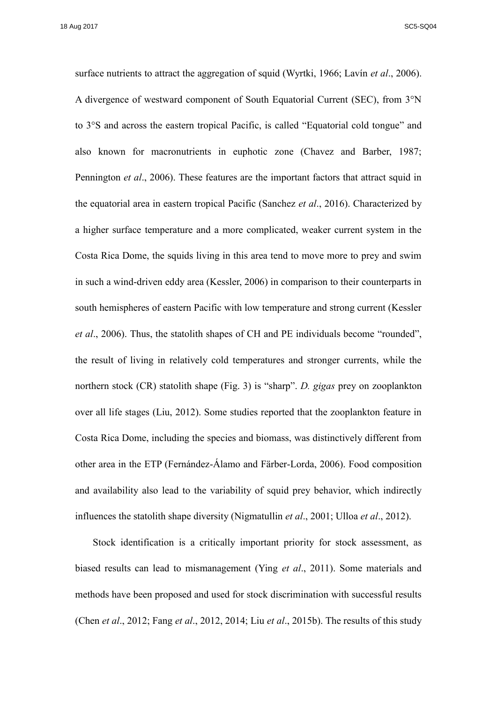surface nutrients to attract the aggregation of squid (Wyrtki, 1966; Lavín *et al*., 2006). A divergence of westward component of South Equatorial Current (SEC), from 3°N to 3°S and across the eastern tropical Pacific, is called "Equatorial cold tongue" and also known for macronutrients in euphotic zone (Chavez and Barber, 1987; Pennington *et al*., 2006). These features are the important factors that attract squid in the equatorial area in eastern tropical Pacific (Sanchez *et al*., 2016). Characterized by a higher surface temperature and a more complicated, weaker current system in the Costa Rica Dome, the squids living in this area tend to move more to prey and swim in such a wind-driven eddy area (Kessler, 2006) in comparison to their counterparts in south hemispheres of eastern Pacific with low temperature and strong current (Kessler *et al*., 2006). Thus, the statolith shapes of CH and PE individuals become "rounded", the result of living in relatively cold temperatures and stronger currents, while the northern stock (CR) statolith shape (Fig. 3) is "sharp". *D. gigas* prey on zooplankton over all life stages (Liu, 2012). Some studies reported that the zooplankton feature in Costa Rica Dome, including the species and biomass, was distinctively different from other area in the ETP (Fernández-Álamo and Färber-Lorda, 2006). Food composition and availability also lead to the variability of squid prey behavior, which indirectly influences the statolith shape diversity (Nigmatullin *et al*., 2001; Ulloa *et al*., 2012).

Stock identification is a critically important priority for stock assessment, as biased results can lead to mismanagement (Ying *et al*., 2011). Some materials and methods have been proposed and used for stock discrimination with successful results (Chen *et al*., 2012; Fang *et al*., 2012, 2014; Liu *et al*., 2015b). The results of this study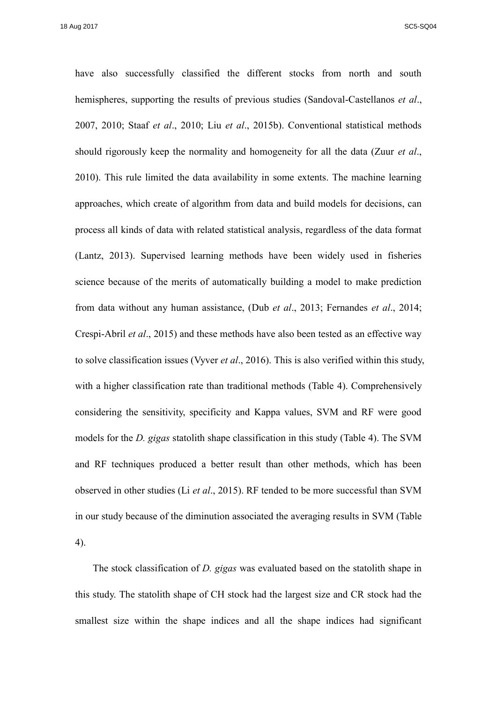have also successfully classified the different stocks from north and south hemispheres, supporting the results of previous studies (Sandoval-Castellanos *et al*., 2007, 2010; Staaf *et al*., 2010; Liu *et al*., 2015b). Conventional statistical methods should rigorously keep the normality and homogeneity for all the data (Zuur *et al*., 2010). This rule limited the data availability in some extents. The machine learning approaches, which create of algorithm from data and build models for decisions, can process all kinds of data with related statistical analysis, regardless of the data format (Lantz, 2013). Supervised learning methods have been widely used in fisheries science because of the merits of automatically building a model to make prediction from data without any human assistance, (Dub *et al*., 2013; Fernandes *et al*., 2014; Crespi-Abril *et al*., 2015) and these methods have also been tested as an effective way to solve classification issues (Vyver *et al*., 2016). This is also verified within this study, with a higher classification rate than traditional methods (Table 4). Comprehensively considering the sensitivity, specificity and Kappa values, SVM and RF were good models for the *D. gigas* statolith shape classification in this study (Table 4). The SVM and RF techniques produced a better result than other methods, which has been observed in other studies (Li *et al*., 2015). RF tended to be more successful than SVM in our study because of the diminution associated the averaging results in SVM (Table 4).

The stock classification of *D. gigas* was evaluated based on the statolith shape in this study. The statolith shape of CH stock had the largest size and CR stock had the smallest size within the shape indices and all the shape indices had significant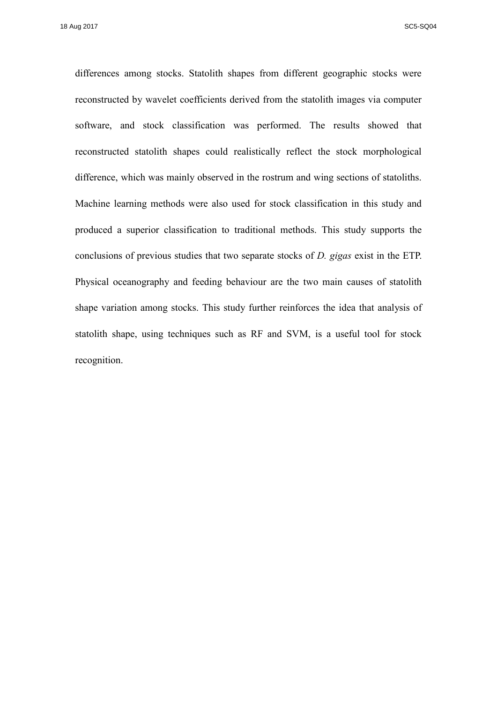differences among stocks. Statolith shapes from different geographic stocks were reconstructed by wavelet coefficients derived from the statolith images via computer software, and stock classification was performed. The results showed that reconstructed statolith shapes could realistically reflect the stock morphological difference, which was mainly observed in the rostrum and wing sections of statoliths. Machine learning methods were also used for stock classification in this study and produced a superior classification to traditional methods. This study supports the conclusions of previous studies that two separate stocks of *D. gigas* exist in the ETP. Physical oceanography and feeding behaviour are the two main causes of statolith shape variation among stocks. This study further reinforces the idea that analysis of statolith shape, using techniques such as RF and SVM, is a useful tool for stock recognition.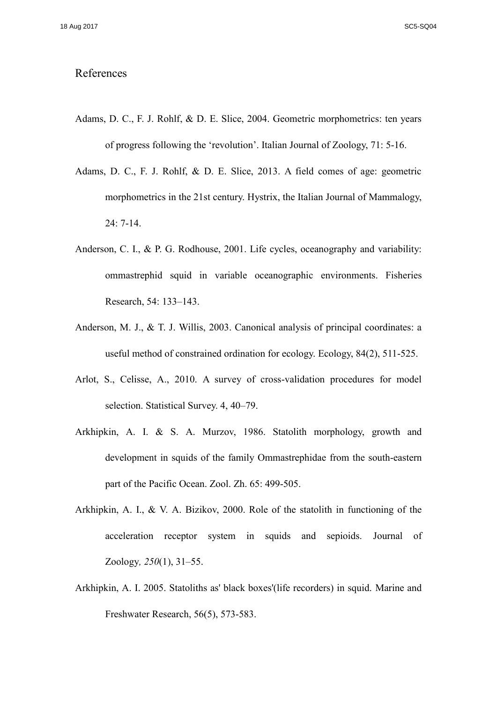# References

- Adams, D. C., F. J. Rohlf, & D. E. Slice, 2004. Geometric morphometrics: ten years of progress following the 'revolution'. Italian Journal of Zoology, 71: 5-16.
- Adams, D. C., F. J. Rohlf, & D. E. Slice, 2013. A field comes of age: geometric morphometrics in the 21st century. Hystrix, the Italian Journal of Mammalogy, 24: 7-14.
- Anderson, C. I., & P. G. Rodhouse, 2001. Life cycles, oceanography and variability: ommastrephid squid in variable oceanographic environments. Fisheries Research, 54: 133–143.
- Anderson, M. J., & T. J. Willis, 2003. Canonical analysis of principal coordinates: a useful method of constrained ordination for ecology. Ecology, 84(2), 511-525.
- Arlot, S., Celisse, A., 2010. A survey of cross-validation procedures for model selection. Statistical Survey. 4, 40–79.
- Arkhipkin, A. I. & S. A. Murzov, 1986. Statolith morphology, growth and development in squids of the family Ommastrephidae from the south-eastern part of the Pacific Ocean. Zool. Zh. 65: 499-505.
- Arkhipkin, A. I., & V. A. Bizikov, 2000. Role of the statolith in functioning of the acceleration receptor system in squids and sepioids. Journal of Zoology*, 250*(1), 31–55.
- Arkhipkin, A. I. 2005. Statoliths as' black boxes'(life recorders) in squid. Marine and Freshwater Research, 56(5), 573-583.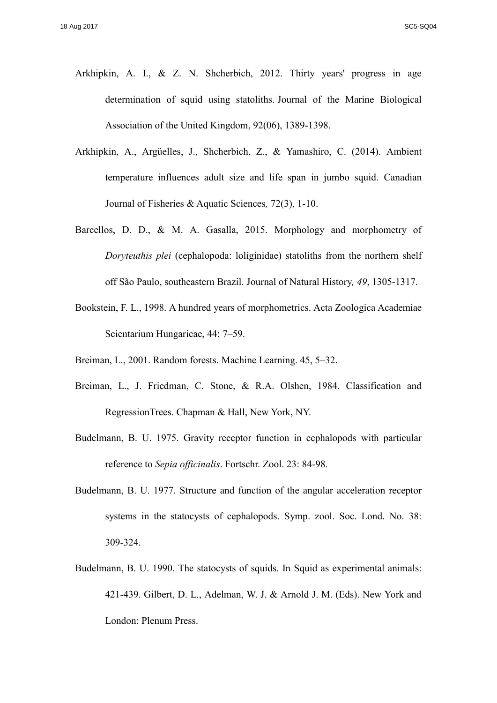- Arkhipkin, A. I., & Z. N. Shcherbich, 2012. Thirty years' progress in age determination of squid using statoliths. Journal of the Marine Biological Association of the United Kingdom, 92(06), 1389-1398.
- Arkhipkin, A., Argüelles, J., Shcherbich, Z., & Yamashiro, C. (2014). Ambient temperature influences adult size and life span in jumbo squid. Canadian Journal of Fisheries & Aquatic Sciences*,* 72(3), 1-10.
- Barcellos, D. D., & M. A. Gasalla, 2015. Morphology and morphometry of *Doryteuthis plei* (cephalopoda: loliginidae) statoliths from the northern shelf off São Paulo, southeastern Brazil. Journal of Natural History*, 49*, 1305-1317.
- Bookstein, F. L., 1998. A hundred years of morphometrics. Acta Zoologica Academiae Scientarium Hungaricae, 44: 7–59.
- Breiman, L., 2001. Random forests. Machine Learning. 45, 5–32.
- Breiman, L., J. Friedman, C. Stone, & R.A. Olshen, 1984. Classification and RegressionTrees. Chapman & Hall, New York, NY.
- Budelmann, B. U. 1975. Gravity receptor function in cephalopods with particular reference to *Sepia officinalis*. Fortschr. Zool. 23: 84-98.
- Budelmann, B. U. 1977. Structure and function of the angular acceleration receptor systems in the statocysts of cephalopods. Symp. zool. Soc. Lond. No. 38: 309-324.
- Budelmann, B. U. 1990. The statocysts of squids. In Squid as experimental animals: 421-439. Gilbert, D. L., Adelman, W. J. & Arnold J. M. (Eds). New York and London: Plenum Press.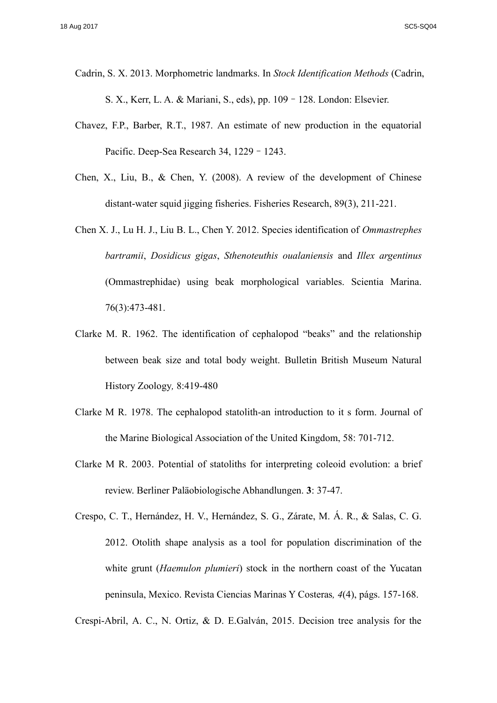- Cadrin, S. X. 2013. Morphometric landmarks. In *Stock Identification Methods* (Cadrin, S. X., Kerr, L. A. & Mariani, S., eds), pp. 109–128. London: Elsevier.
- Chavez, F.P., Barber, R.T., 1987. An estimate of new production in the equatorial Pacific. Deep-Sea Research 34, 1229–1243.
- Chen, X., Liu, B., & Chen, Y. (2008). A review of the development of Chinese distant-water squid jigging fisheries. Fisheries Research, 89(3), 211-221.
- Chen X. J., Lu H. J., Liu B. L., Chen Y. 2012. Species identification of *Ommastrephes bartramii*, *Dosidicus gigas*, *Sthenoteuthis oualaniensis* and *Illex argentinus* (Ommastrephidae) using beak morphological variables. Scientia Marina. 76(3):473-481.
- Clarke M. R. 1962. The identification of cephalopod "beaks" and the relationship between beak size and total body weight. Bulletin British Museum Natural History Zoology*,* 8:419-480
- Clarke M R. 1978. The cephalopod statolith-an introduction to it s form. Journal of the Marine Biological Association of the United Kingdom, 58: 701-712.
- Clarke M R. 2003. Potential of statoliths for interpreting coleoid evolution: a brief review. Berliner Paläobiologische Abhandlungen. **3**: 37-47.
- Crespo, C. T., Hernández, H. V., Hernández, S. G., Zárate, M. Á. R., & Salas, C. G. 2012. Otolith shape analysis as a tool for population discrimination of the white grunt (*Haemulon plumieri*) stock in the northern coast of the Yucatan peninsula, Mexico. Revista Ciencias Marinas Y Costeras*, 4*(4), págs. 157-168.

Crespi-Abril, A. C., N. Ortiz, & D. E.Galván, 2015. Decision tree analysis for the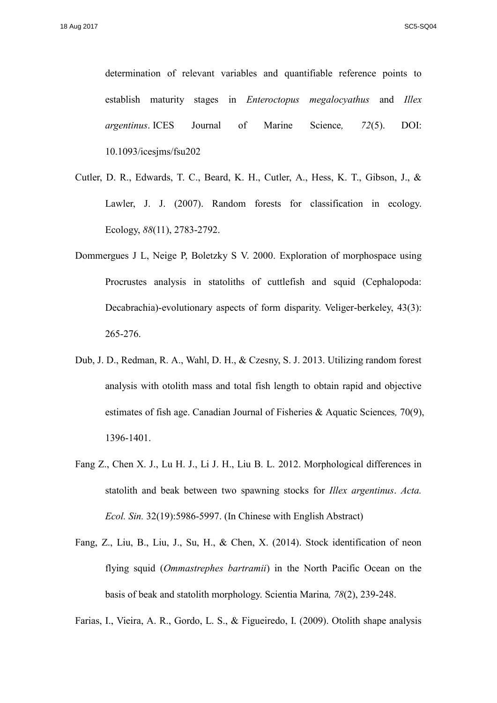determination of relevant variables and quantifiable reference points to establish maturity stages in *Enteroctopus megalocyathus* and *Illex argentinus*. ICES Journal of Marine Science*, 72*(5). DOI: 10.1093/icesjms/fsu202

- Cutler, D. R., Edwards, T. C., Beard, K. H., Cutler, A., Hess, K. T., Gibson, J., & Lawler, J. J. (2007). Random forests for classification in ecology. Ecology, *88*(11), 2783-2792.
- Dommergues J L, Neige P, Boletzky S V. 2000. Exploration of morphospace using Procrustes analysis in statoliths of cuttlefish and squid (Cephalopoda: Decabrachia)-evolutionary aspects of form disparity. Veliger-berkeley, 43(3): 265-276.
- Dub, J. D., Redman, R. A., Wahl, D. H., & Czesny, S. J. 2013. Utilizing random forest analysis with otolith mass and total fish length to obtain rapid and objective estimates of fish age. Canadian Journal of Fisheries & Aquatic Sciences*,* 70(9), 1396-1401.
- Fang Z., Chen X. J., Lu H. J., Li J. H., Liu B. L. 2012. Morphological differences in statolith and beak between two spawning stocks for *Illex argentinus*. *Acta. Ecol. Sin.* 32(19):5986-5997. (In Chinese with English Abstract)
- Fang, Z., Liu, B., Liu, J., Su, H., & Chen, X. (2014). Stock identification of neon flying squid (*Ommastrephes bartramii*) in the North Pacific Ocean on the basis of beak and statolith morphology. Scientia Marina*, 78*(2), 239-248.

Farias, I., Vieira, A. R., Gordo, L. S., & Figueiredo, I. (2009). Otolith shape analysis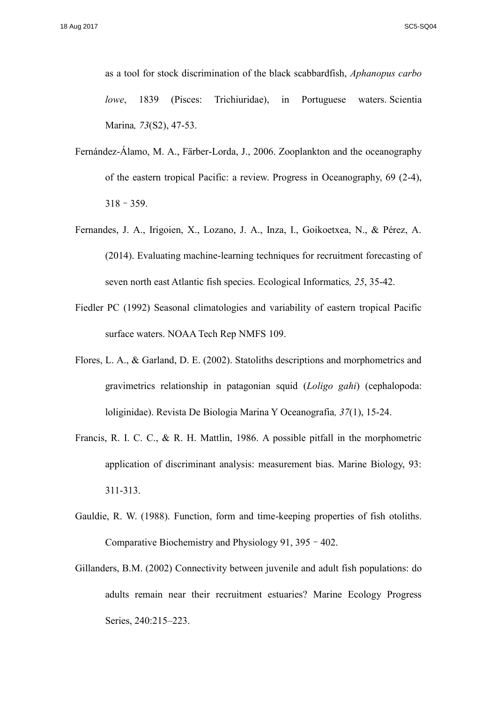as a tool for stock discrimination of the black scabbardfish, *Aphanopus carbo lowe*, 1839 (Pisces: Trichiuridae), in Portuguese waters Scientia Marina*, 73*(S2), 47-53.

- Fernández-Álamo, M. A., Färber-Lorda, J., 2006. Zooplankton and the oceanography of the eastern tropical Pacific: a review. Progress in Oceanography, 69 (2-4), 318–359.
- Fernandes, J. A., Irigoien, X., Lozano, J. A., Inza, I., Goikoetxea, N., & Pérez, A. (2014). Evaluating machine-learning techniques for recruitment forecasting of seven north east Atlantic fish species. Ecological Informatics*, 25*, 35-42.
- Fiedler PC (1992) Seasonal climatologies and variability of eastern tropical Pacific surface waters. NOAA Tech Rep NMFS 109.
- Flores, L. A., & Garland, D. E. (2002). Statoliths descriptions and morphometrics and gravimetrics relationship in patagonian squid (*Loligo gahi*) (cephalopoda: loliginidae). Revista De Biologia Marina Y Oceanografia*, 37*(1), 15-24.
- Francis, R. I. C. C., & R. H. Mattlin, 1986. A possible pitfall in the morphometric application of discriminant analysis: measurement bias. Marine Biology, 93: 311-313.
- Gauldie, R. W. (1988). Function, form and time-keeping properties of fish otoliths. Comparative Biochemistry and Physiology 91, 395–402.
- Gillanders, B.M. (2002) Connectivity between juvenile and adult fish populations: do adults remain near their recruitment estuaries? Marine Ecology Progress Series, 240:215–223.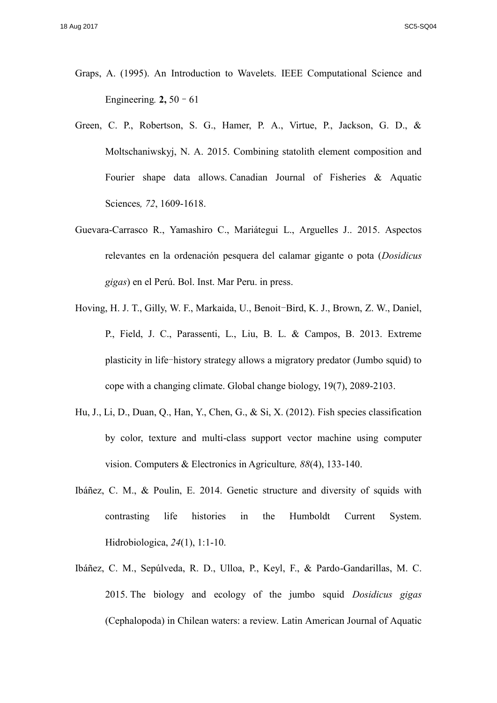- Graps, A. (1995). An Introduction to Wavelets. IEEE Computational Science and Engineering*.* **2,** 50–61
- Green, C. P., Robertson, S. G., Hamer, P. A., Virtue, P., Jackson, G. D., & Moltschaniwskyj, N. A. 2015. Combining statolith element composition and Fourier shape data allows. Canadian Journal of Fisheries & Aquatic Sciences*, 72*, 1609-1618.
- Guevara-Carrasco R., Yamashiro C., Mariátegui L., Arguelles J.. 2015. Aspectos relevantes en la ordenación pesquera del calamar gigante o pota (*Dosidicus gigas*) en el Perú. Bol. Inst. Mar Peru. in press.
- Hoving, H. J. T., Gilly, W. F., Markaida, U., Benoit-Bird, K. J., Brown, Z. W., Daniel, P., Field, J. C., Parassenti, L., Liu, B. L. & Campos, B. 2013. Extreme plasticity in life-history strategy allows a migratory predator (Jumbo squid) to cope with a changing climate. Global change biology, 19(7), 2089-2103.
- Hu, J., Li, D., Duan, Q., Han, Y., Chen, G., & Si, X. (2012). Fish species classification by color, texture and multi-class support vector machine using computer vision. Computers & Electronics in Agriculture*, 88*(4), 133-140.
- Ibáñez, C. M., & Poulin, E. 2014. Genetic structure and diversity of squids with contrasting life histories in the Humboldt Current System. Hidrobiologica, *24*(1), 1:1-10.
- Ibáñez, C. M., Sepúlveda, R. D., Ulloa, P., Keyl, F., & Pardo-Gandarillas, M. C. 2015. The biology and ecology of the jumbo squid *Dosidicus gigas* (Cephalopoda) in Chilean waters: a review. Latin American Journal of Aquatic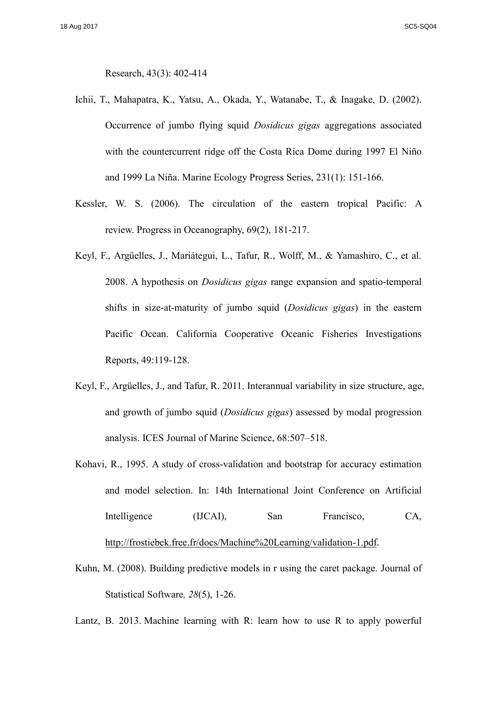Research, 43(3): 402-414

- Ichii, T., Mahapatra, K., Yatsu, A., Okada, Y., Watanabe, T., & Inagake, D. (2002). Occurrence of jumbo flying squid *Dosidicus gigas* aggregations associated with the countercurrent ridge off the Costa Rica Dome during 1997 El Niño and 1999 La Niña. Marine Ecology Progress Series, 231(1): 151-166.
- Kessler, W. S. (2006). The circulation of the eastern tropical Pacific: A review. Progress in Oceanography, 69(2), 181-217.
- Keyl, F., Argüelles, J., Mariátegui, L., Tafur, R., Wolff, M., & Yamashiro, C., et al. 2008. A hypothesis on *Dosidicus gigas* range expansion and spatio-temporal shifts in size-at-maturity of jumbo squid (*Dosidicus gigas*) in the eastern Pacific Ocean. California Cooperative Oceanic Fisheries Investigations Reports, 49:119-128.
- Keyl, F., Argüelles, J., and Tafur, R. 2011. Interannual variability in size structure, age, and growth of jumbo squid (*Dosidicus gigas*) assessed by modal progression analysis. ICES Journal of Marine Science, 68:507–518.
- Kohavi, R., 1995. A study of cross-validation and bootstrap for accuracy estimation and model selection. In: 14th International Joint Conference on Artificial Intelligence (IJCAI), San Francisco, CA, [http://frostiebek.free.fr/docs/Machine%20Learning/validation-1.pdf.](http://frostiebek.free.fr/docs/Machine%20Learning/validation-1.pdf)
- Kuhn, M. (2008). Building predictive models in r using the caret package. Journal of Statistical Software*, 28*(5), 1-26.

Lantz, B. 2013. Machine learning with R: learn how to use R to apply powerful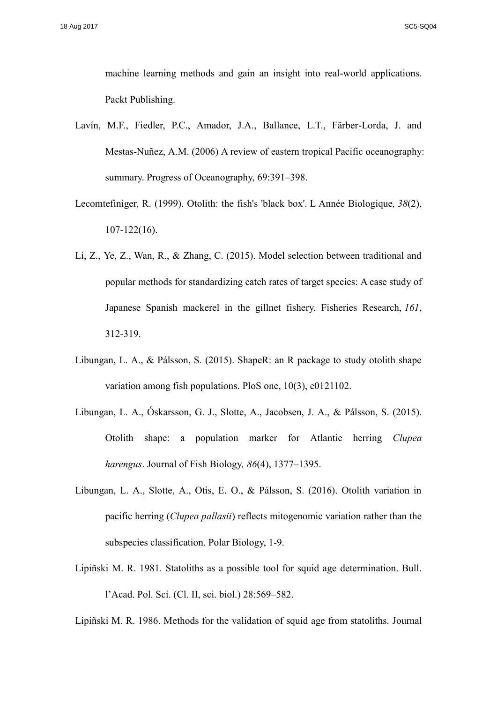machine learning methods and gain an insight into real-world applications. Packt Publishing.

- Lavín, M.F., Fiedler, P.C., Amador, J.A., Ballance, L.T., Färber-Lorda, J. and Mestas-Nuñez, A.M. (2006) A review of eastern tropical Pacific oceanography: summary. Progress of Oceanography, 69:391–398.
- Lecomtefiniger, R. (1999). Otolith: the fish's 'black box'. L Année Biologique*, 38*(2), 107-122(16).
- Li, Z., Ye, Z., Wan, R., & Zhang, C. (2015). Model selection between traditional and popular methods for standardizing catch rates of target species: A case study of Japanese Spanish mackerel in the gillnet fishery. Fisheries Research, *161*, 312-319.
- Libungan, L. A., & Pálsson, S. (2015). ShapeR: an R package to study otolith shape variation among fish populations. PloS one, 10(3), e0121102.
- Libungan, L. A., Óskarsson, G. J., Slotte, A., Jacobsen, J. A., & Pálsson, S. (2015). Otolith shape: a population marker for Atlantic herring *Clupea harengus*. Journal of Fish Biology*, 86*(4), 1377–1395.
- Libungan, L. A., Slotte, A., Otis, E. O., & Pálsson, S. (2016). Otolith variation in pacific herring (*Clupea pallasii*) reflects mitogenomic variation rather than the subspecies classification. Polar Biology, 1-9.
- Lipiñski M. R. 1981. Statoliths as a possible tool for squid age determination. Bull. l'Acad. Pol. Sci. (Cl. II, sci. biol.) 28:569–582.

Lipiñski M. R. 1986. Methods for the validation of squid age from statoliths. Journal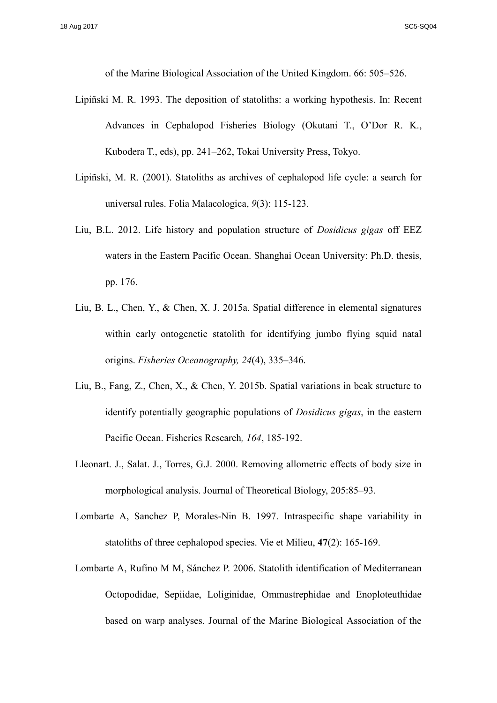of the Marine Biological Association of the United Kingdom. 66: 505–526.

- Lipiñski M. R. 1993. The deposition of statoliths: a working hypothesis. In: Recent Advances in Cephalopod Fisheries Biology (Okutani T., O'Dor R. K., Kubodera T., eds), pp. 241–262, Tokai University Press, Tokyo.
- Lipiñski, M. R. (2001). Statoliths as archives of cephalopod life cycle: a search for universal rules. Folia Malacologica, *9*(3): 115-123.
- Liu, B.L. 2012. Life history and population structure of *Dosidicus gigas* off EEZ waters in the Eastern Pacific Ocean. Shanghai Ocean University: Ph.D. thesis, pp. 176.
- Liu, B. L., Chen, Y., & Chen, X. J. 2015a. Spatial difference in elemental signatures within early ontogenetic statolith for identifying jumbo flying squid natal origins. *Fisheries Oceanography, 24*(4), 335–346.
- Liu, B., Fang, Z., Chen, X., & Chen, Y. 2015b. Spatial variations in beak structure to identify potentially geographic populations of *Dosidicus gigas*, in the eastern Pacific Ocean. Fisheries Research*, 164*, 185-192.
- Lleonart. J., Salat. J., Torres, G.J. 2000. Removing allometric effects of body size in morphological analysis. Journal of Theoretical Biology, 205:85–93.
- Lombarte A, Sanchez P, Morales-Nin B. 1997. Intraspecific shape variability in statoliths of three cephalopod species. Vie et Milieu, **47**(2): 165-169.
- Lombarte A, Rufino M M, Sánchez P. 2006. Statolith identification of Mediterranean Octopodidae, Sepiidae, Loliginidae, Ommastrephidae and Enoploteuthidae based on warp analyses. Journal of the Marine Biological Association of the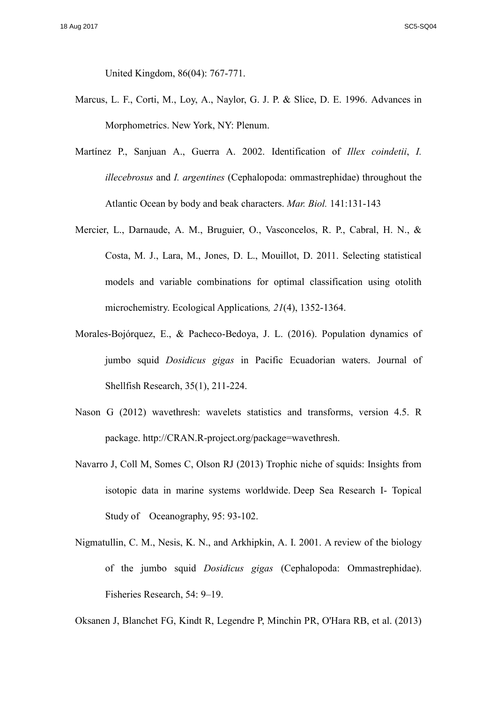United Kingdom, 86(04): 767-771.

- Marcus, L. F., Corti, M., Loy, A., Naylor, G. J. P. & Slice, D. E. 1996. Advances in Morphometrics. New York, NY: Plenum.
- Martínez P., Sanjuan A., Guerra A. 2002. Identification of *Illex coindetii*, *I. illecebrosus* and *I. argentines* (Cephalopoda: ommastrephidae) throughout the Atlantic Ocean by body and beak characters. *Mar. Biol.* 141:131-143
- Mercier, L., Darnaude, A. M., Bruguier, O., Vasconcelos, R. P., Cabral, H. N., & Costa, M. J., Lara, M., Jones, D. L., Mouillot, D. 2011. Selecting statistical models and variable combinations for optimal classification using otolith microchemistry. Ecological Applications*, 21*(4), 1352-1364.
- Morales-Bojórquez, E., & Pacheco-Bedoya, J. L. (2016). Population dynamics of jumbo squid *Dosidicus gigas* in Pacific Ecuadorian waters. Journal of Shellfish Research, 35(1), 211-224.
- Nason G (2012) wavethresh: wavelets statistics and transforms, version 4.5. R package. http://CRAN.R-project.org/package=wavethresh.
- Navarro J, Coll M, Somes C, Olson RJ (2013) Trophic niche of squids: Insights from isotopic data in marine systems worldwide. Deep Sea Research I- Topical Study of Oceanography, 95: 93-102.
- Nigmatullin, C. M., Nesis, K. N., and Arkhipkin, A. I. 2001. A review of the biology of the jumbo squid *Dosidicus gigas* (Cephalopoda: Ommastrephidae). Fisheries Research, 54: 9–19.

Oksanen J, Blanchet FG, Kindt R, Legendre P, Minchin PR, O'Hara RB, et al. (2013)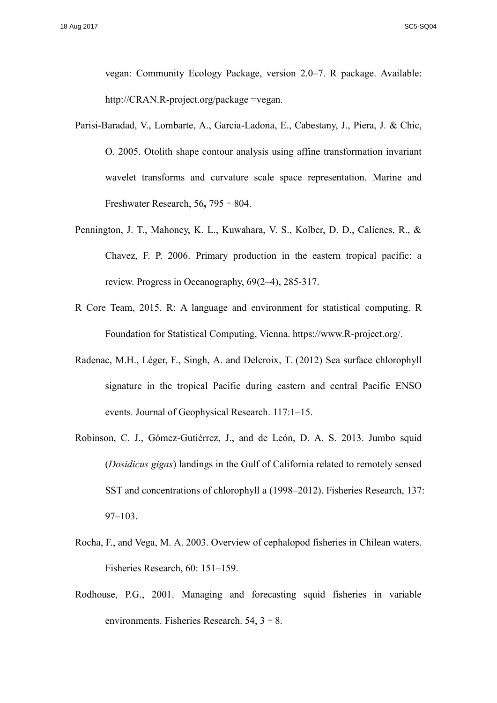vegan: Community Ecology Package, version 2.0–7. R package. Available: http://CRAN.R-project.org/package =vegan.

- Parisi-Baradad, V., Lombarte, A., Garcia-Ladona, E., Cabestany, J., Piera, J. & Chic, O. 2005. Otolith shape contour analysis using affine transformation invariant wavelet transforms and curvature scale space representation. Marine and Freshwater Research, 56**,** 795–804.
- Pennington, J. T., Mahoney, K. L., Kuwahara, V. S., Kolber, D. D., Calienes, R., & Chavez, F. P. 2006. Primary production in the eastern tropical pacific: a review. Progress in Oceanography, 69(2–4), 285-317.
- R Core Team, 2015. R: A language and environment for statistical computing. R Foundation for Statistical Computing, Vienna. https://www.R-project.org/.
- Radenac, M.H., Léger, F., Singh, A. and Delcroix, T. (2012) Sea surface chlorophyll signature in the tropical Pacific during eastern and central Pacific ENSO events. Journal of Geophysical Research. 117:1–15.
- Robinson, C. J., Gómez-Gutiérrez, J., and de León, D. A. S. 2013. Jumbo squid (*Dosidicus gigas*) landings in the Gulf of California related to remotely sensed SST and concentrations of chlorophyll a (1998–2012). Fisheries Research, 137: 97–103.
- Rocha, F., and Vega, M. A. 2003. Overview of cephalopod fisheries in Chilean waters. Fisheries Research, 60: 151–159.
- Rodhouse, P.G., 2001. Managing and forecasting squid fisheries in variable environments. Fisheries Research. 54, 3–8.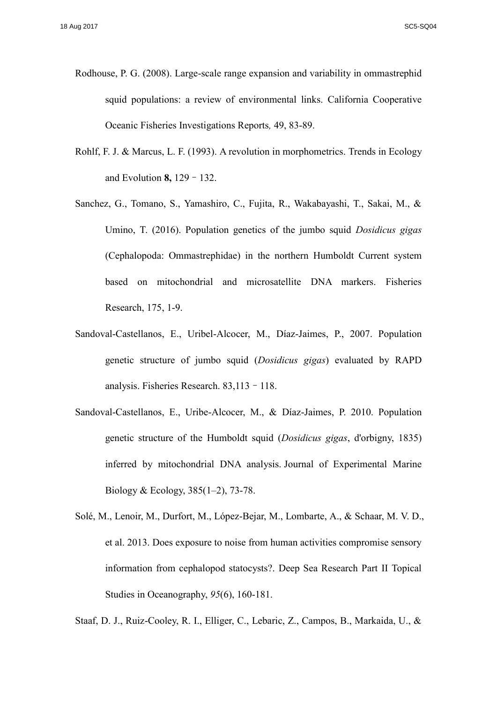- Rodhouse, P. G. (2008). Large-scale range expansion and variability in ommastrephid squid populations: a review of environmental links. California Cooperative Oceanic Fisheries Investigations Reports*,* 49, 83-89.
- Rohlf, F. J. & Marcus, L. F. (1993). A revolution in morphometrics. Trends in Ecology and Evolution **8,** 129–132.
- Sanchez, G., Tomano, S., Yamashiro, C., Fujita, R., Wakabayashi, T., Sakai, M., & Umino, T. (2016). Population genetics of the jumbo squid *Dosidicus gigas* (Cephalopoda: Ommastrephidae) in the northern Humboldt Current system based on mitochondrial and microsatellite DNA markers. Fisheries Research, 175, 1-9.
- Sandoval-Castellanos, E., Uribel-Alcocer, M., Díaz-Jaimes, P., 2007. Population genetic structure of jumbo squid (*Dosidicus gigas*) evaluated by RAPD analysis. Fisheries Research. 83,113–118.
- Sandoval-Castellanos, E., Uribe-Alcocer, M., & Díaz-Jaimes, P. 2010. Population genetic structure of the Humboldt squid (*Dosidicus gigas*, d'orbigny, 1835) inferred by mitochondrial DNA analysis. Journal of Experimental Marine Biology & Ecology, 385(1–2), 73-78.

Staaf, D. J., Ruiz-Cooley, R. I., Elliger, C., Lebaric, Z., Campos, B., Markaida, U., &

Solé, M., Lenoir, M., Durfort, M., López-Bejar, M., Lombarte, A., & Schaar, M. V. D., et al. 2013. Does exposure to noise from human activities compromise sensory information from cephalopod statocysts?. Deep Sea Research Part II Topical Studies in Oceanography, *95*(6), 160-181.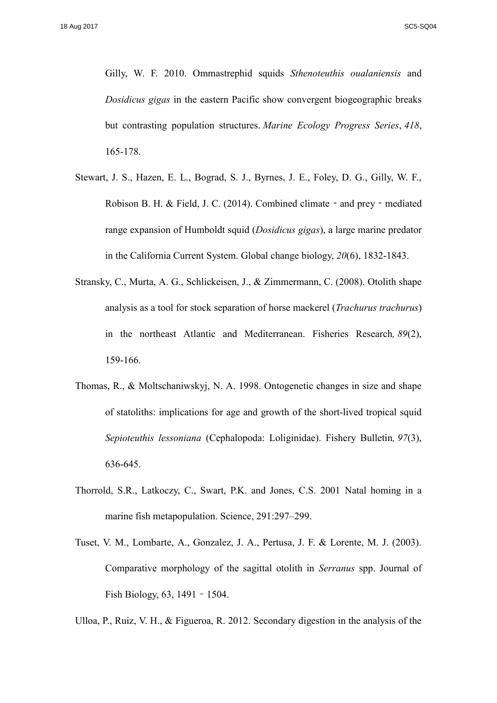Gilly, W. F. 2010. Ommastrephid squids *Sthenoteuthis oualaniensis* and *Dosidicus gigas* in the eastern Pacific show convergent biogeographic breaks but contrasting population structures. *Marine Ecology Progress Series*, *418*, 165-178.

- Stewart, J. S., Hazen, E. L., Bograd, S. J., Byrnes, J. E., Foley, D. G., Gilly, W. F., Robison B. H. & Field, J. C. (2014). Combined climate - and prey - mediated range expansion of Humboldt squid (*Dosidicus gigas*), a large marine predator in the California Current System. Global change biology, *20*(6), 1832-1843.
- Stransky, C., Murta, A. G., Schlickeisen, J., & Zimmermann, C. (2008). Otolith shape analysis as a tool for stock separation of horse mackerel (*Trachurus trachurus*) in the northeast Atlantic and Mediterranean. Fisheries Research*, 89*(2), 159-166.
- Thomas, R., & Moltschaniwskyj, N. A. 1998. Ontogenetic changes in size and shape of statoliths: implications for age and growth of the short-lived tropical squid *Sepioteuthis lessoniana* (Cephalopoda: Loliginidae). Fishery Bulletin*, 97*(3), 636-645.
- Thorrold, S.R., Latkoczy, C., Swart, P.K. and Jones, C.S. 2001 Natal homing in a marine fish metapopulation. Science, 291:297–299.
- Tuset, V. M., Lombarte, A., Gonzalez, J. A., Pertusa, J. F. & Lorente, M. J. (2003). Comparative morphology of the sagittal otolith in *Serranus* spp. Journal of Fish Biology, 63, 1491–1504.
- Ulloa, P., Ruiz, V. H., & Figueroa, R. 2012. Secondary digestion in the analysis of the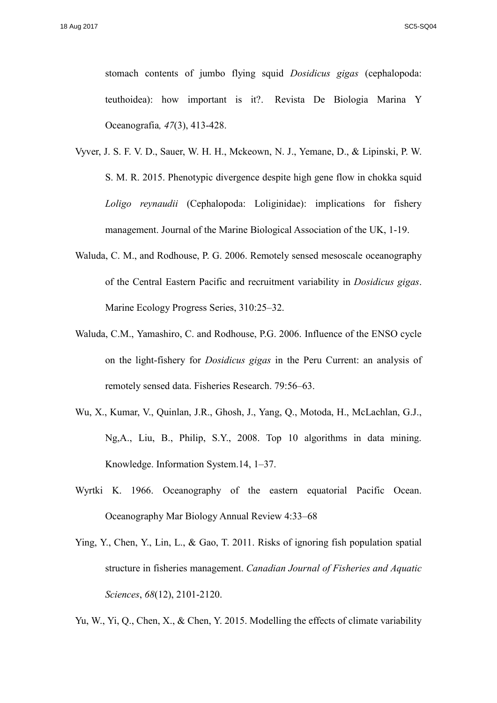stomach contents of jumbo flying squid *Dosidicus gigas* (cephalopoda: teuthoidea): how important is it?. Revista De Biologia Marina Y Oceanografia*, 47*(3), 413-428.

- Vyver, J. S. F. V. D., Sauer, W. H. H., Mckeown, N. J., Yemane, D., & Lipinski, P. W. S. M. R. 2015. Phenotypic divergence despite high gene flow in chokka squid *Loligo reynaudii* (Cephalopoda: Loliginidae): implications for fishery management. Journal of the Marine Biological Association of the UK, 1-19.
- Waluda, C. M., and Rodhouse, P. G. 2006. Remotely sensed mesoscale oceanography of the Central Eastern Pacific and recruitment variability in *Dosidicus gigas*. Marine Ecology Progress Series, 310:25–32.
- Waluda, C.M., Yamashiro, C. and Rodhouse, P.G. 2006. Influence of the ENSO cycle on the light-fishery for *Dosidicus gigas* in the Peru Current: an analysis of remotely sensed data. Fisheries Research. 79:56–63.
- Wu, X., Kumar, V., Quinlan, J.R., Ghosh, J., Yang, Q., Motoda, H., McLachlan, G.J., Ng,A., Liu, B., Philip, S.Y., 2008. Top 10 algorithms in data mining. Knowledge. Information System.14, 1–37.
- Wyrtki K. 1966. Oceanography of the eastern equatorial Pacific Ocean. Oceanography Mar Biology Annual Review 4:33–68
- Ying, Y., Chen, Y., Lin, L., & Gao, T. 2011. Risks of ignoring fish population spatial structure in fisheries management. *Canadian Journal of Fisheries and Aquatic Sciences*, *68*(12), 2101-2120.

Yu, W., Yi, Q., Chen, X., & Chen, Y. 2015. Modelling the effects of climate variability